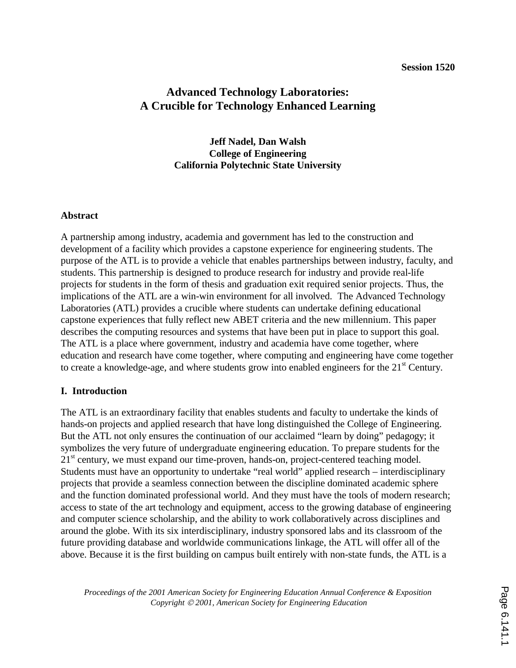#### **Session 1520**

# **Advanced Technology Laboratories: A Crucible for Technology Enhanced Learning**

**Jeff Nadel, Dan Walsh College of Engineering California Polytechnic State University** 

#### **Abstract**

A partnership among industry, academia and government has led to the construction and development of a facility which provides a capstone experience for engineering students. The purpose of the ATL is to provide a vehicle that enables partnerships between industry, faculty, and students. This partnership is designed to produce research for industry and provide real-life projects for students in the form of thesis and graduation exit required senior projects. Thus, the implications of the ATL are a win-win environment for all involved. The Advanced Technology Laboratories (ATL) provides a crucible where students can undertake defining educational capstone experiences that fully reflect new ABET criteria and the new millennium. This paper describes the computing resources and systems that have been put in place to support this goal. The ATL is a place where government, industry and academia have come together, where education and research have come together, where computing and engineering have come together to create a knowledge-age, and where students grow into enabled engineers for the 21<sup>st</sup> Century.

#### **I. Introduction**

The ATL is an extraordinary facility that enables students and faculty to undertake the kinds of hands-on projects and applied research that have long distinguished the College of Engineering. But the ATL not only ensures the continuation of our acclaimed "learn by doing" pedagogy; it symbolizes the very future of undergraduate engineering education. To prepare students for the  $21<sup>st</sup>$  century, we must expand our time-proven, hands-on, project-centered teaching model. Students must have an opportunity to undertake "real world" applied research – interdisciplinary projects that provide a seamless connection between the discipline dominated academic sphere and the function dominated professional world. And they must have the tools of modern research; access to state of the art technology and equipment, access to the growing database of engineering and computer science scholarship, and the ability to work collaboratively across disciplines and around the globe. With its six interdisciplinary, industry sponsored labs and its classroom of the future providing database and worldwide communications linkage, the ATL will offer all of the above. Because it is the first building on campus built entirely with non-state funds, the ATL is a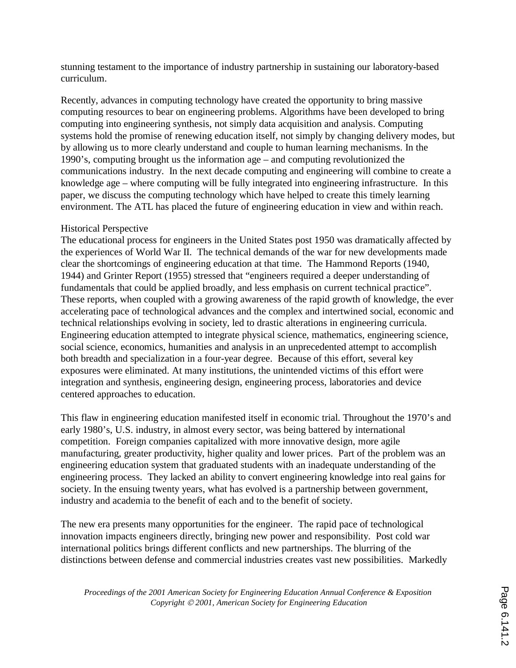stunning testament to the importance of industry partnership in sustaining our laboratory-based curriculum.

Recently, advances in computing technology have created the opportunity to bring massive computing resources to bear on engineering problems. Algorithms have been developed to bring computing into engineering synthesis, not simply data acquisition and analysis. Computing systems hold the promise of renewing education itself, not simply by changing delivery modes, but by allowing us to more clearly understand and couple to human learning mechanisms. In the 1990's, computing brought us the information age – and computing revolutionized the communications industry. In the next decade computing and engineering will combine to create a knowledge age – where computing will be fully integrated into engineering infrastructure. In this paper, we discuss the computing technology which have helped to create this timely learning environment. The ATL has placed the future of engineering education in view and within reach.

### Historical Perspective

The educational process for engineers in the United States post 1950 was dramatically affected by the experiences of World War II. The technical demands of the war for new developments made clear the shortcomings of engineering education at that time. The Hammond Reports (1940, 1944) and Grinter Report (1955) stressed that "engineers required a deeper understanding of fundamentals that could be applied broadly, and less emphasis on current technical practice". These reports, when coupled with a growing awareness of the rapid growth of knowledge, the ever accelerating pace of technological advances and the complex and intertwined social, economic and technical relationships evolving in society, led to drastic alterations in engineering curricula. Engineering education attempted to integrate physical science, mathematics, engineering science, social science, economics, humanities and analysis in an unprecedented attempt to accomplish both breadth and specialization in a four-year degree. Because of this effort, several key exposures were eliminated. At many institutions, the unintended victims of this effort were integration and synthesis, engineering design, engineering process, laboratories and device centered approaches to education.

This flaw in engineering education manifested itself in economic trial. Throughout the 1970's and early 1980's, U.S. industry, in almost every sector, was being battered by international competition. Foreign companies capitalized with more innovative design, more agile manufacturing, greater productivity, higher quality and lower prices. Part of the problem was an engineering education system that graduated students with an inadequate understanding of the engineering process. They lacked an ability to convert engineering knowledge into real gains for society. In the ensuing twenty years, what has evolved is a partnership between government, industry and academia to the benefit of each and to the benefit of society.

The new era presents many opportunities for the engineer. The rapid pace of technological innovation impacts engineers directly, bringing new power and responsibility. Post cold war international politics brings different conflicts and new partnerships. The blurring of the distinctions between defense and commercial industries creates vast new possibilities. Markedly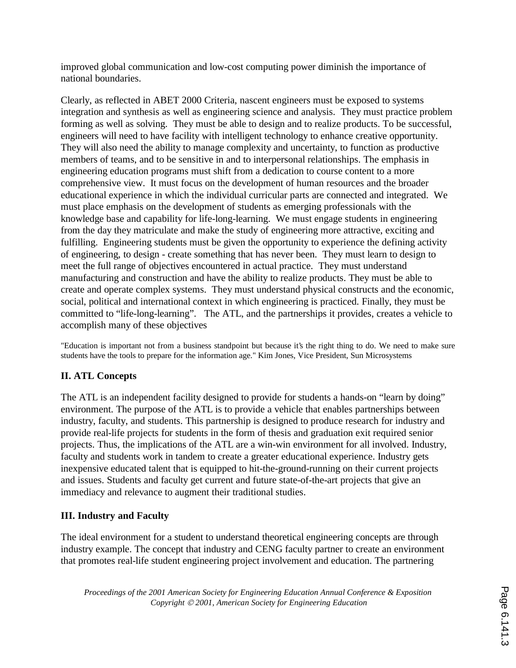improved global communication and low-cost computing power diminish the importance of national boundaries.

Clearly, as reflected in ABET 2000 Criteria, nascent engineers must be exposed to systems integration and synthesis as well as engineering science and analysis. They must practice problem forming as well as solving. They must be able to design and to realize products. To be successful, engineers will need to have facility with intelligent technology to enhance creative opportunity. They will also need the ability to manage complexity and uncertainty, to function as productive members of teams, and to be sensitive in and to interpersonal relationships. The emphasis in engineering education programs must shift from a dedication to course content to a more comprehensive view. It must focus on the development of human resources and the broader educational experience in which the individual curricular parts are connected and integrated. We must place emphasis on the development of students as emerging professionals with the knowledge base and capability for life-long-learning. We must engage students in engineering from the day they matriculate and make the study of engineering more attractive, exciting and fulfilling. Engineering students must be given the opportunity to experience the defining activity of engineering, to design - create something that has never been. They must learn to design to meet the full range of objectives encountered in actual practice. They must understand manufacturing and construction and have the ability to realize products. They must be able to create and operate complex systems. They must understand physical constructs and the economic, social, political and international context in which engineering is practiced. Finally, they must be committed to "life-long-learning". The ATL, and the partnerships it provides, creates a vehicle to accomplish many of these objectives

"Education is important not from a business standpoint but because it's the right thing to do. We need to make sure students have the tools to prepare for the information age." Kim Jones, Vice President, Sun Microsystems

# **II. ATL Concepts**

The ATL is an independent facility designed to provide for students a hands-on "learn by doing" environment. The purpose of the ATL is to provide a vehicle that enables partnerships between industry, faculty, and students. This partnership is designed to produce research for industry and provide real-life projects for students in the form of thesis and graduation exit required senior projects. Thus, the implications of the ATL are a win-win environment for all involved. Industry, faculty and students work in tandem to create a greater educational experience. Industry gets inexpensive educated talent that is equipped to hit-the-ground-running on their current projects and issues. Students and faculty get current and future state-of-the-art projects that give an immediacy and relevance to augment their traditional studies.

## **III. Industry and Faculty**

The ideal environment for a student to understand theoretical engineering concepts are through industry example. The concept that industry and CENG faculty partner to create an environment that promotes real-life student engineering project involvement and education. The partnering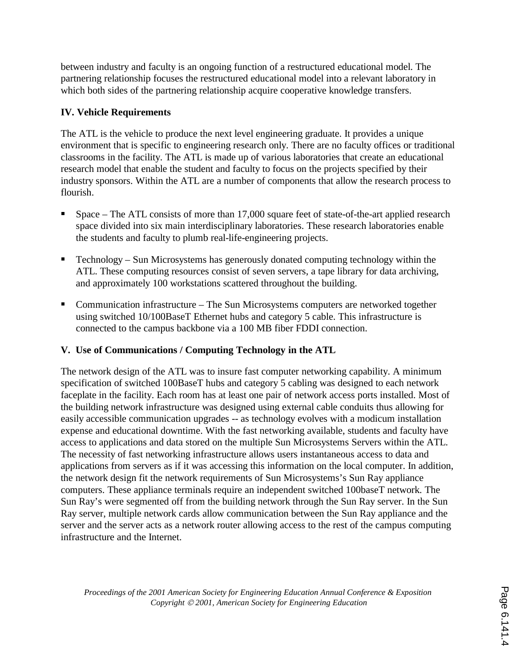between industry and faculty is an ongoing function of a restructured educational model. The partnering relationship focuses the restructured educational model into a relevant laboratory in which both sides of the partnering relationship acquire cooperative knowledge transfers.

## **IV. Vehicle Requirements**

The ATL is the vehicle to produce the next level engineering graduate. It provides a unique environment that is specific to engineering research only. There are no faculty offices or traditional classrooms in the facility. The ATL is made up of various laboratories that create an educational research model that enable the student and faculty to focus on the projects specified by their industry sponsors. Within the ATL are a number of components that allow the research process to flourish.

- Space The ATL consists of more than 17,000 square feet of state-of-the-art applied research space divided into six main interdisciplinary laboratories. These research laboratories enable the students and faculty to plumb real-life-engineering projects.
- Technology Sun Microsystems has generously donated computing technology within the ATL. These computing resources consist of seven servers, a tape library for data archiving, and approximately 100 workstations scattered throughout the building.
- Communication infrastructure The Sun Microsystems computers are networked together using switched 10/100BaseT Ethernet hubs and category 5 cable. This infrastructure is connected to the campus backbone via a 100 MB fiber FDDI connection.

# **V. Use of Communications / Computing Technology in the ATL**

The network design of the ATL was to insure fast computer networking capability. A minimum specification of switched 100BaseT hubs and category 5 cabling was designed to each network faceplate in the facility. Each room has at least one pair of network access ports installed. Most of the building network infrastructure was designed using external cable conduits thus allowing for easily accessible communication upgrades -- as technology evolves with a modicum installation expense and educational downtime. With the fast networking available, students and faculty have access to applications and data stored on the multiple Sun Microsystems Servers within the ATL. The necessity of fast networking infrastructure allows users instantaneous access to data and applications from servers as if it was accessing this information on the local computer. In addition, the network design fit the network requirements of Sun Microsystems's Sun Ray appliance computers. These appliance terminals require an independent switched 100baseT network. The Sun Ray's were segmented off from the building network through the Sun Ray server. In the Sun Ray server, multiple network cards allow communication between the Sun Ray appliance and the server and the server acts as a network router allowing access to the rest of the campus computing infrastructure and the Internet.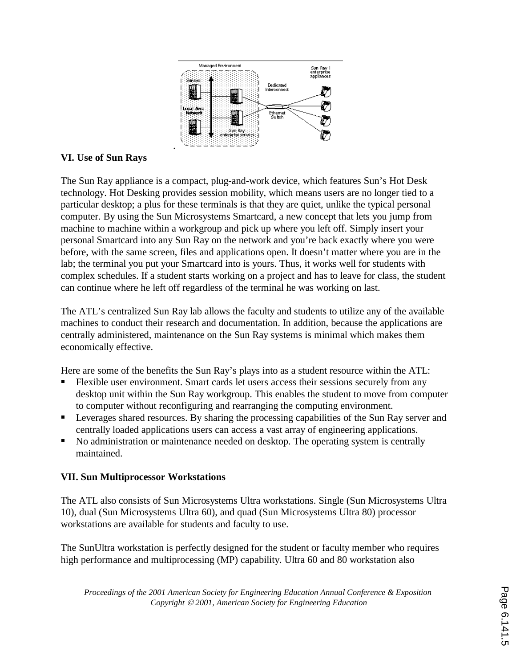

## **VI. Use of Sun Rays**

The Sun Ray appliance is a compact, plug-and-work device, which features Sun's Hot Desk technology. Hot Desking provides session mobility, which means users are no longer tied to a particular desktop; a plus for these terminals is that they are quiet, unlike the typical personal computer. By using the Sun Microsystems Smartcard, a new concept that lets you jump from machine to machine within a workgroup and pick up where you left off. Simply insert your personal Smartcard into any Sun Ray on the network and you're back exactly where you were before, with the same screen, files and applications open. It doesn't matter where you are in the lab; the terminal you put your Smartcard into is yours. Thus, it works well for students with complex schedules. If a student starts working on a project and has to leave for class, the student can continue where he left off regardless of the terminal he was working on last.

The ATL's centralized Sun Ray lab allows the faculty and students to utilize any of the available machines to conduct their research and documentation. In addition, because the applications are centrally administered, maintenance on the Sun Ray systems is minimal which makes them economically effective.

Here are some of the benefits the Sun Ray's plays into as a student resource within the ATL:

- Flexible user environment. Smart cards let users access their sessions securely from any desktop unit within the Sun Ray workgroup. This enables the student to move from computer to computer without reconfiguring and rearranging the computing environment.
- Leverages shared resources. By sharing the processing capabilities of the Sun Ray server and centrally loaded applications users can access a vast array of engineering applications.
- No administration or maintenance needed on desktop. The operating system is centrally maintained.

## **VII. Sun Multiprocessor Workstations**

The ATL also consists of Sun Microsystems Ultra workstations. Single (Sun Microsystems Ultra 10), dual (Sun Microsystems Ultra 60), and quad (Sun Microsystems Ultra 80) processor workstations are available for students and faculty to use.

The SunUltra workstation is perfectly designed for the student or faculty member who requires high performance and multiprocessing (MP) capability. Ultra 60 and 80 workstation also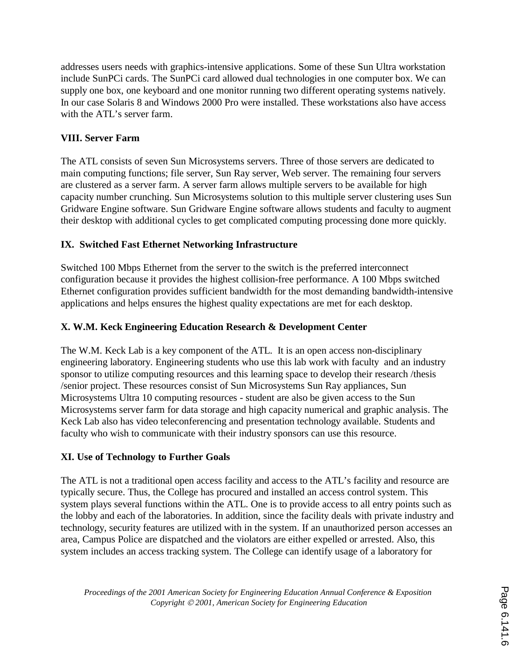addresses users needs with graphics-intensive applications. Some of these Sun Ultra workstation include SunPCi cards. The SunPCi card allowed dual technologies in one computer box. We can supply one box, one keyboard and one monitor running two different operating systems natively. In our case Solaris 8 and Windows 2000 Pro were installed. These workstations also have access with the ATL's server farm.

# **VIII. Server Farm**

The ATL consists of seven Sun Microsystems servers. Three of those servers are dedicated to main computing functions; file server, Sun Ray server, Web server. The remaining four servers are clustered as a server farm. A server farm allows multiple servers to be available for high capacity number crunching. Sun Microsystems solution to this multiple server clustering uses Sun Gridware Engine software. Sun Gridware Engine software allows students and faculty to augment their desktop with additional cycles to get complicated computing processing done more quickly.

## **IX. Switched Fast Ethernet Networking Infrastructure**

Switched 100 Mbps Ethernet from the server to the switch is the preferred interconnect configuration because it provides the highest collision-free performance. A 100 Mbps switched Ethernet configuration provides sufficient bandwidth for the most demanding bandwidth-intensive applications and helps ensures the highest quality expectations are met for each desktop.

## **X. W.M. Keck Engineering Education Research & Development Center**

The W.M. Keck Lab is a key component of the ATL. It is an open access non-disciplinary engineering laboratory. Engineering students who use this lab work with faculty and an industry sponsor to utilize computing resources and this learning space to develop their research /thesis /senior project. These resources consist of Sun Microsystems Sun Ray appliances, Sun Microsystems Ultra 10 computing resources - student are also be given access to the Sun Microsystems server farm for data storage and high capacity numerical and graphic analysis. The Keck Lab also has video teleconferencing and presentation technology available. Students and faculty who wish to communicate with their industry sponsors can use this resource.

## **XI. Use of Technology to Further Goals**

The ATL is not a traditional open access facility and access to the ATL's facility and resource are typically secure. Thus, the College has procured and installed an access control system. This system plays several functions within the ATL. One is to provide access to all entry points such as the lobby and each of the laboratories. In addition, since the facility deals with private industry and technology, security features are utilized with in the system. If an unauthorized person accesses an area, Campus Police are dispatched and the violators are either expelled or arrested. Also, this system includes an access tracking system. The College can identify usage of a laboratory for